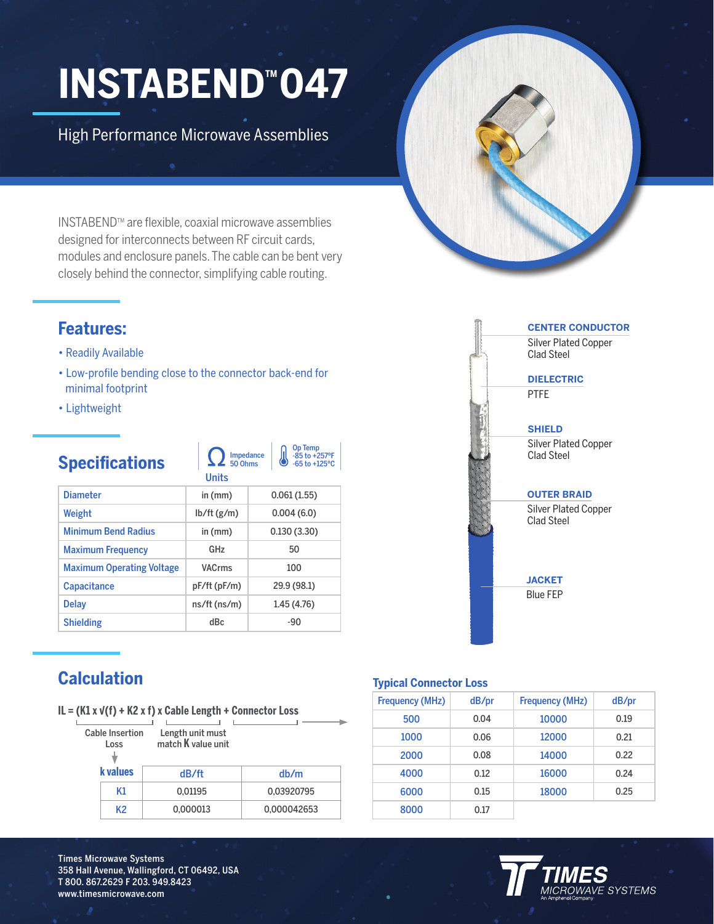# **INSTABEND™047**

High Performance Microwave Assemblies

INSTABENDTM are flexible, coaxial microwave assemblies designed for interconnects between RF circuit cards, modules and enclosure panels. The cable can be bent very closely behind the connector, simplifying cable routing.

### **Features:**

- Readily Available
- Low-profile bending close to the connector back-end for minimal footprint
- Lightweight

## **Specifications**

Op Temp -85 to +257ºF -65 to +125ºC Impedance 50 Ohms

|                                  | uma             |             |
|----------------------------------|-----------------|-------------|
| <b>Diameter</b>                  | in (mm)         | 0.061(1.55) |
| Weight                           | lb/ft(g/m)      | 0.004(6.0)  |
| <b>Minimum Bend Radius</b>       | in (mm)         | 0.130(3.30) |
| <b>Maximum Frequency</b>         | GH <sub>7</sub> | 50          |
| <b>Maximum Operating Voltage</b> | <b>VACrms</b>   | 100         |
| <b>Capacitance</b>               | pF/ft (pF/m)    | 29.9 (98.1) |
| <b>Delay</b>                     | ns/ft (ns/m)    | 1.45(4.76)  |
| <b>Shielding</b>                 | dBc             | $-90$       |

Units



## **Calculation**

|  |  |  | IL = $(K1 x V(f) + K2 x f) x$ Cable Length + Connector Loss |  |
|--|--|--|-------------------------------------------------------------|--|
|  |  |  |                                                             |  |

| <b>Cable Insertion</b><br>Loss | Length unit must<br>match <b>K</b> value unit |             |
|--------------------------------|-----------------------------------------------|-------------|
| <b>k</b> values                | dB/ft                                         | db/m        |
| K1                             | 0.01195                                       | 0.03920795  |
| K2                             | 0.000013                                      | 0,000042653 |

#### **Typical Connector Loss**

| <b>Frequency (MHz)</b> | dB/pr | <b>Frequency (MHz)</b> | dB/pr |
|------------------------|-------|------------------------|-------|
| 500                    | 0.04  | 10000                  | 0.19  |
| 1000                   | 0.06  | 12000                  | 0.21  |
| 2000                   | 0.08  | 14000                  | 0.22  |
| 4000                   | 0.12  | 16000                  | 0.24  |
| 6000                   | 0.15  | 18000                  | 0.25  |
| 8000                   | 0.17  |                        |       |

Times Microwave Systems 358 Hall Avenue, Wallingford, CT 06492, USA T 800. 867.2629 F 203. 949.8423 www.timesmicrowave.com

# **E SYSTEMS**